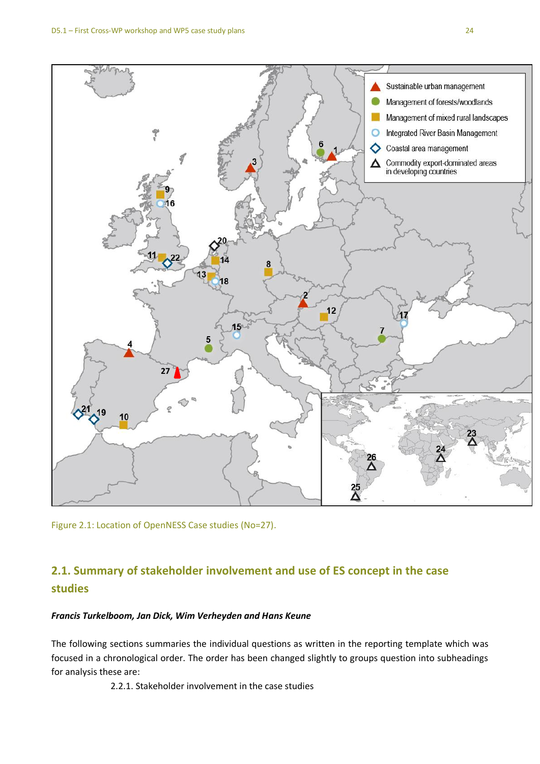

Figure 2.1: Location of OpenNESS Case studies (No=27).

# **2.1. Summary of stakeholder involvement and use of ES concept in the case studies**

## *Francis Turkelboom, Jan Dick, Wim Verheyden and Hans Keune*

The following sections summaries the individual questions as written in the reporting template which was focused in a chronological order. The order has been changed slightly to groups question into subheadings for analysis these are:

2.2.1. Stakeholder involvement in the case studies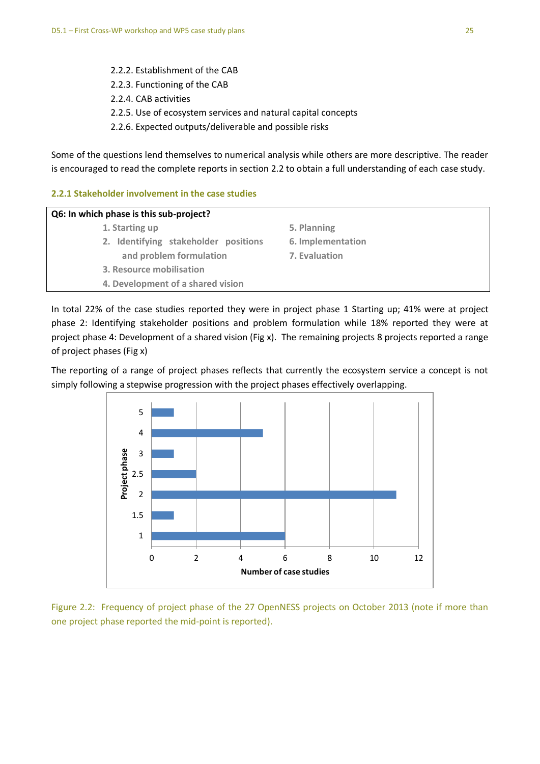- 2.2.2. Establishment of the CAB
- 2.2.3. Functioning of the CAB
- 2.2.4. CAB activities
- 2.2.5. Use of ecosystem services and natural capital concepts
- 2.2.6. Expected outputs/deliverable and possible risks

Some of the questions lend themselves to numerical analysis while others are more descriptive. The reader is encouraged to read the complete reports in section 2.2 to obtain a full understanding of each case study.

## **2.2.1 Stakeholder involvement in the case studies**

| Q6: In which phase is this sub-project? |                   |  |
|-----------------------------------------|-------------------|--|
| 1. Starting up                          | 5. Planning       |  |
| 2. Identifying stakeholder positions    | 6. Implementation |  |
| and problem formulation                 | 7. Evaluation     |  |
| 3. Resource mobilisation                |                   |  |
| 4. Development of a shared vision       |                   |  |
|                                         |                   |  |

In total 22% of the case studies reported they were in project phase 1 Starting up; 41% were at project phase 2: Identifying stakeholder positions and problem formulation while 18% reported they were at project phase 4: Development of a shared vision (Fig x). The remaining projects 8 projects reported a range of project phases (Fig x)

The reporting of a range of project phases reflects that currently the ecosystem service a concept is not simply following a stepwise progression with the project phases effectively overlapping.



Figure 2.2: Frequency of project phase of the 27 OpenNESS projects on October 2013 (note if more than one project phase reported the mid-point is reported).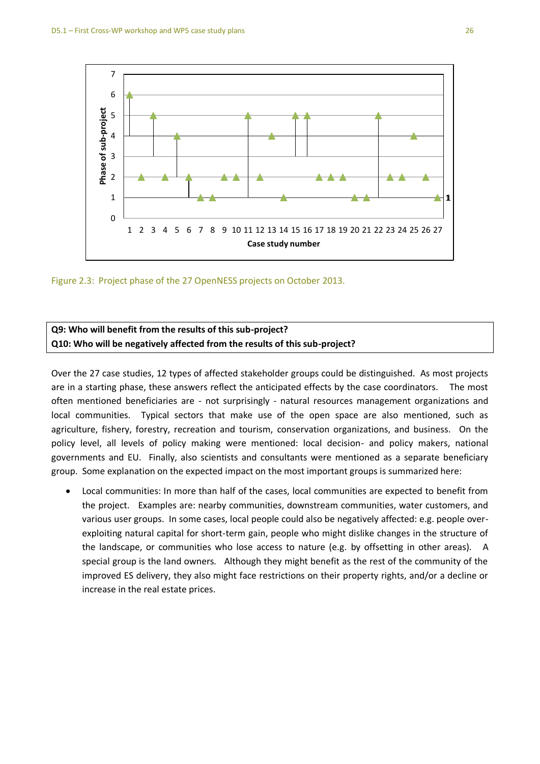



## **Q9: Who will benefit from the results of this sub-project? Q10: Who will be negatively affected from the results of this sub-project?**

Over the 27 case studies, 12 types of affected stakeholder groups could be distinguished. As most projects are in a starting phase, these answers reflect the anticipated effects by the case coordinators. The most often mentioned beneficiaries are - not surprisingly - natural resources management organizations and local communities. Typical sectors that make use of the open space are also mentioned, such as agriculture, fishery, forestry, recreation and tourism, conservation organizations, and business. On the policy level, all levels of policy making were mentioned: local decision- and policy makers, national governments and EU. Finally, also scientists and consultants were mentioned as a separate beneficiary group. Some explanation on the expected impact on the most important groups is summarized here:

 Local communities: In more than half of the cases, local communities are expected to benefit from the project. Examples are: nearby communities, downstream communities, water customers, and various user groups. In some cases, local people could also be negatively affected: e.g. people overexploiting natural capital for short-term gain, people who might dislike changes in the structure of the landscape, or communities who lose access to nature (e.g. by offsetting in other areas). A special group is the land owners. Although they might benefit as the rest of the community of the improved ES delivery, they also might face restrictions on their property rights, and/or a decline or increase in the real estate prices.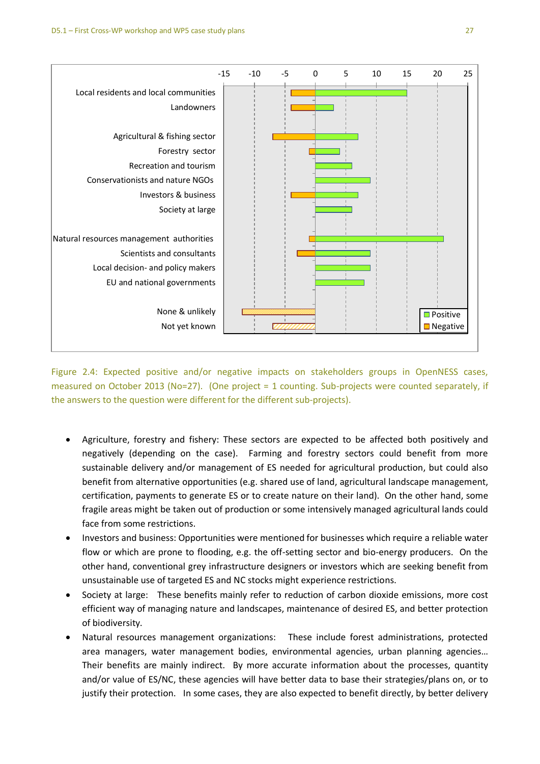

Figure 2.4: Expected positive and/or negative impacts on stakeholders groups in OpenNESS cases, measured on October 2013 (No=27). (One project = 1 counting. Sub-projects were counted separately, if the answers to the question were different for the different sub-projects).

- Agriculture, forestry and fishery: These sectors are expected to be affected both positively and negatively (depending on the case). Farming and forestry sectors could benefit from more sustainable delivery and/or management of ES needed for agricultural production, but could also benefit from alternative opportunities (e.g. shared use of land, agricultural landscape management, certification, payments to generate ES or to create nature on their land). On the other hand, some fragile areas might be taken out of production or some intensively managed agricultural lands could face from some restrictions.
- Investors and business: Opportunities were mentioned for businesses which require a reliable water flow or which are prone to flooding, e.g. the off-setting sector and bio-energy producers. On the other hand, conventional grey infrastructure designers or investors which are seeking benefit from unsustainable use of targeted ES and NC stocks might experience restrictions.
- Society at large: These benefits mainly refer to reduction of carbon dioxide emissions, more cost efficient way of managing nature and landscapes, maintenance of desired ES, and better protection of biodiversity.
- Natural resources management organizations: These include forest administrations, protected area managers, water management bodies, environmental agencies, urban planning agencies… Their benefits are mainly indirect. By more accurate information about the processes, quantity and/or value of ES/NC, these agencies will have better data to base their strategies/plans on, or to justify their protection. In some cases, they are also expected to benefit directly, by better delivery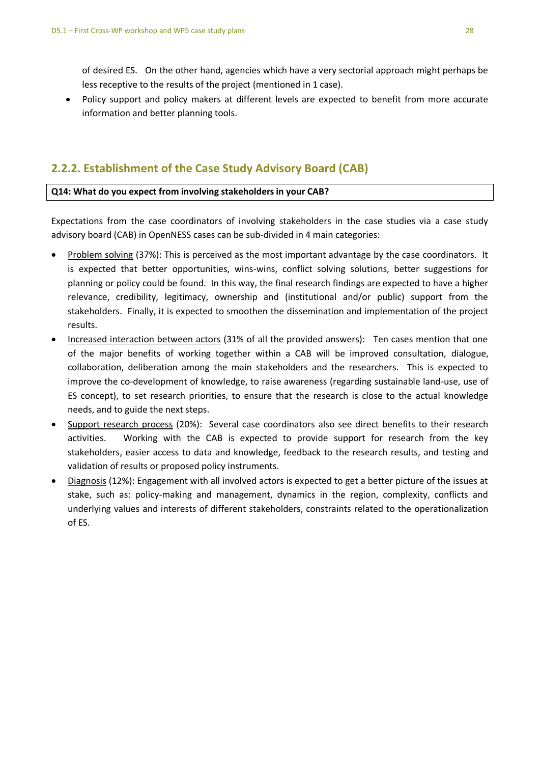of desired ES. On the other hand, agencies which have a very sectorial approach might perhaps be less receptive to the results of the project (mentioned in 1 case).

 Policy support and policy makers at different levels are expected to benefit from more accurate information and better planning tools.

# **2.2.2. Establishment of the Case Study Advisory Board (CAB)**

## **Q14: What do you expect from involving stakeholders in your CAB?**

Expectations from the case coordinators of involving stakeholders in the case studies via a case study advisory board (CAB) in OpenNESS cases can be sub-divided in 4 main categories:

- Problem solving (37%): This is perceived as the most important advantage by the case coordinators. It is expected that better opportunities, wins-wins, conflict solving solutions, better suggestions for planning or policy could be found. In this way, the final research findings are expected to have a higher relevance, credibility, legitimacy, ownership and (institutional and/or public) support from the stakeholders. Finally, it is expected to smoothen the dissemination and implementation of the project results.
- Increased interaction between actors (31% of all the provided answers): Ten cases mention that one of the major benefits of working together within a CAB will be improved consultation, dialogue, collaboration, deliberation among the main stakeholders and the researchers. This is expected to improve the co-development of knowledge, to raise awareness (regarding sustainable land-use, use of ES concept), to set research priorities, to ensure that the research is close to the actual knowledge needs, and to guide the next steps.
- Support research process (20%): Several case coordinators also see direct benefits to their research activities. Working with the CAB is expected to provide support for research from the key stakeholders, easier access to data and knowledge, feedback to the research results, and testing and validation of results or proposed policy instruments.
- Diagnosis (12%): Engagement with all involved actors is expected to get a better picture of the issues at stake, such as: policy-making and management, dynamics in the region, complexity, conflicts and underlying values and interests of different stakeholders, constraints related to the operationalization of ES.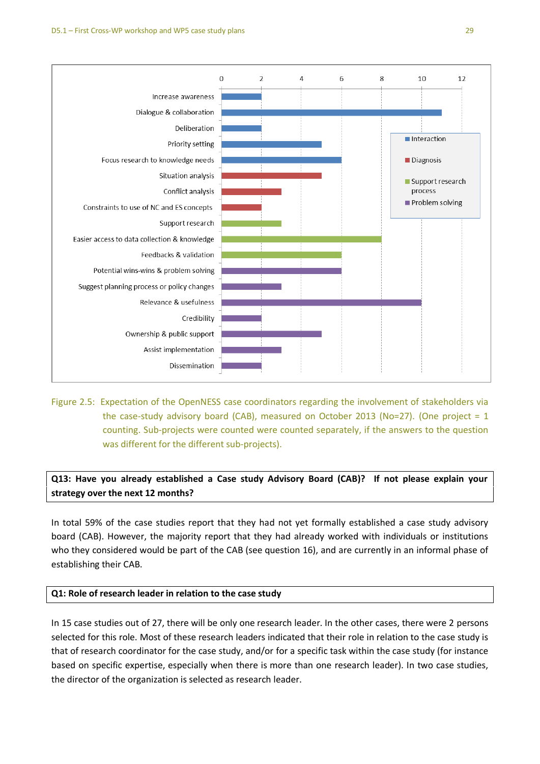

Figure 2.5: Expectation of the OpenNESS case coordinators regarding the involvement of stakeholders via the case-study advisory board (CAB), measured on October 2013 (No=27). (One project = 1 counting. Sub-projects were counted were counted separately, if the answers to the question was different for the different sub-projects).

**Q13: Have you already established a Case study Advisory Board (CAB)? If not please explain your strategy over the next 12 months?**

In total 59% of the case studies report that they had not yet formally established a case study advisory board (CAB). However, the majority report that they had already worked with individuals or institutions who they considered would be part of the CAB (see question 16), and are currently in an informal phase of establishing their CAB.

## **Q1: Role of research leader in relation to the case study**

In 15 case studies out of 27, there will be only one research leader. In the other cases, there were 2 persons selected for this role. Most of these research leaders indicated that their role in relation to the case study is that of research coordinator for the case study, and/or for a specific task within the case study (for instance based on specific expertise, especially when there is more than one research leader). In two case studies, the director of the organization is selected as research leader.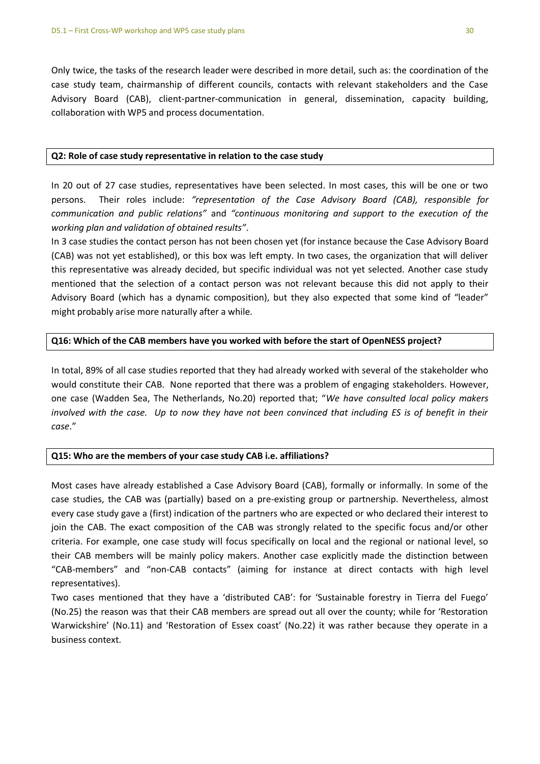Only twice, the tasks of the research leader were described in more detail, such as: the coordination of the case study team, chairmanship of different councils, contacts with relevant stakeholders and the Case Advisory Board (CAB), client-partner-communication in general, dissemination, capacity building, collaboration with WP5 and process documentation.

### **Q2: Role of case study representative in relation to the case study**

In 20 out of 27 case studies, representatives have been selected. In most cases, this will be one or two persons. Their roles include: *"representation of the Case Advisory Board (CAB), responsible for communication and public relations"* and *"continuous monitoring and support to the execution of the working plan and validation of obtained results"*.

In 3 case studies the contact person has not been chosen yet (for instance because the Case Advisory Board (CAB) was not yet established), or this box was left empty. In two cases, the organization that will deliver this representative was already decided, but specific individual was not yet selected. Another case study mentioned that the selection of a contact person was not relevant because this did not apply to their Advisory Board (which has a dynamic composition), but they also expected that some kind of "leader" might probably arise more naturally after a while.

## **Q16: Which of the CAB members have you worked with before the start of OpenNESS project?**

In total, 89% of all case studies reported that they had already worked with several of the stakeholder who would constitute their CAB. None reported that there was a problem of engaging stakeholders. However, one case (Wadden Sea, The Netherlands, No.20) reported that; "*We have consulted local policy makers involved with the case. Up to now they have not been convinced that including ES is of benefit in their case*."

## **Q15: Who are the members of your case study CAB i.e. affiliations?**

Most cases have already established a Case Advisory Board (CAB), formally or informally. In some of the case studies, the CAB was (partially) based on a pre-existing group or partnership. Nevertheless, almost every case study gave a (first) indication of the partners who are expected or who declared their interest to join the CAB. The exact composition of the CAB was strongly related to the specific focus and/or other criteria. For example, one case study will focus specifically on local and the regional or national level, so their CAB members will be mainly policy makers. Another case explicitly made the distinction between "CAB-members" and "non-CAB contacts" (aiming for instance at direct contacts with high level representatives).

Two cases mentioned that they have a 'distributed CAB': for 'Sustainable forestry in Tierra del Fuego' (No.25) the reason was that their CAB members are spread out all over the county; while for 'Restoration Warwickshire' (No.11) and 'Restoration of Essex coast' (No.22) it was rather because they operate in a business context.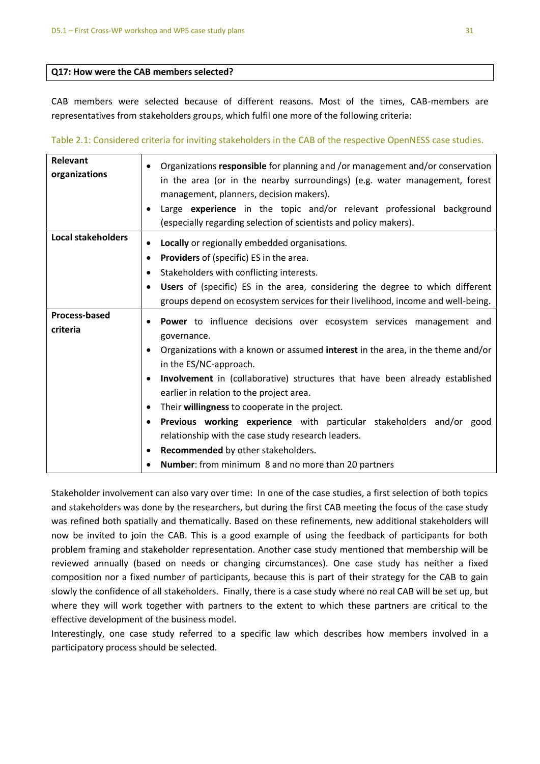#### **Q17: How were the CAB members selected?**

CAB members were selected because of different reasons. Most of the times, CAB-members are representatives from stakeholders groups, which fulfil one more of the following criteria:

Table 2.1: Considered criteria for inviting stakeholders in the CAB of the respective OpenNESS case studies.

| Relevant<br>organizations        | Organizations responsible for planning and /or management and/or conservation<br>in the area (or in the nearby surroundings) (e.g. water management, forest<br>management, planners, decision makers).                                                                                                                                                                                                                                                                                                                                                                                                                |
|----------------------------------|-----------------------------------------------------------------------------------------------------------------------------------------------------------------------------------------------------------------------------------------------------------------------------------------------------------------------------------------------------------------------------------------------------------------------------------------------------------------------------------------------------------------------------------------------------------------------------------------------------------------------|
|                                  | Large experience in the topic and/or relevant professional background<br>(especially regarding selection of scientists and policy makers).                                                                                                                                                                                                                                                                                                                                                                                                                                                                            |
| <b>Local stakeholders</b>        | Locally or regionally embedded organisations.<br><b>Providers</b> of (specific) ES in the area.<br>$\bullet$<br>Stakeholders with conflicting interests.<br><b>Users</b> of (specific) ES in the area, considering the degree to which different<br>groups depend on ecosystem services for their livelihood, income and well-being.                                                                                                                                                                                                                                                                                  |
| <b>Process-based</b><br>criteria | Power to influence decisions over ecosystem services management and<br>governance.<br>Organizations with a known or assumed interest in the area, in the theme and/or<br>in the ES/NC-approach.<br>Involvement in (collaborative) structures that have been already established<br>earlier in relation to the project area.<br>Their willingness to cooperate in the project.<br>Previous working experience with particular stakeholders and/or good<br>relationship with the case study research leaders.<br>Recommended by other stakeholders.<br>$\bullet$<br>Number: from minimum 8 and no more than 20 partners |

Stakeholder involvement can also vary over time: In one of the case studies, a first selection of both topics and stakeholders was done by the researchers, but during the first CAB meeting the focus of the case study was refined both spatially and thematically. Based on these refinements, new additional stakeholders will now be invited to join the CAB. This is a good example of using the feedback of participants for both problem framing and stakeholder representation. Another case study mentioned that membership will be reviewed annually (based on needs or changing circumstances). One case study has neither a fixed composition nor a fixed number of participants, because this is part of their strategy for the CAB to gain slowly the confidence of all stakeholders. Finally, there is a case study where no real CAB will be set up, but where they will work together with partners to the extent to which these partners are critical to the effective development of the business model.

Interestingly, one case study referred to a specific law which describes how members involved in a participatory process should be selected.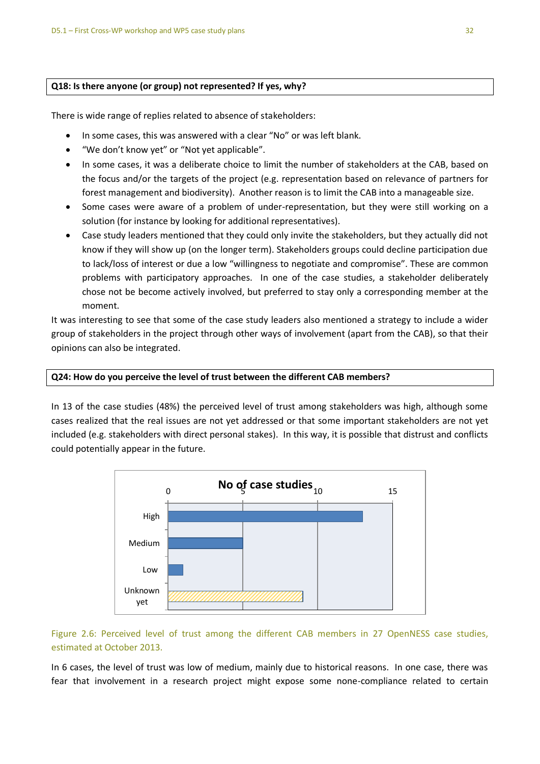## **Q18: Is there anyone (or group) not represented? If yes, why?**

There is wide range of replies related to absence of stakeholders:

- In some cases, this was answered with a clear "No" or was left blank.
- "We don't know yet" or "Not yet applicable".
- In some cases, it was a deliberate choice to limit the number of stakeholders at the CAB, based on the focus and/or the targets of the project (e.g. representation based on relevance of partners for forest management and biodiversity). Another reason is to limit the CAB into a manageable size.
- Some cases were aware of a problem of under-representation, but they were still working on a solution (for instance by looking for additional representatives).
- Case study leaders mentioned that they could only invite the stakeholders, but they actually did not know if they will show up (on the longer term). Stakeholders groups could decline participation due to lack/loss of interest or due a low "willingness to negotiate and compromise". These are common problems with participatory approaches. In one of the case studies, a stakeholder deliberately chose not be become actively involved, but preferred to stay only a corresponding member at the moment.

It was interesting to see that some of the case study leaders also mentioned a strategy to include a wider group of stakeholders in the project through other ways of involvement (apart from the CAB), so that their opinions can also be integrated.

## **Q24: How do you perceive the level of trust between the different CAB members?**

In 13 of the case studies (48%) the perceived level of trust among stakeholders was high, although some cases realized that the real issues are not yet addressed or that some important stakeholders are not yet included (e.g. stakeholders with direct personal stakes). In this way, it is possible that distrust and conflicts could potentially appear in the future.



## Figure 2.6: Perceived level of trust among the different CAB members in 27 OpenNESS case studies, estimated at October 2013.

In 6 cases, the level of trust was low of medium, mainly due to historical reasons. In one case, there was fear that involvement in a research project might expose some none-compliance related to certain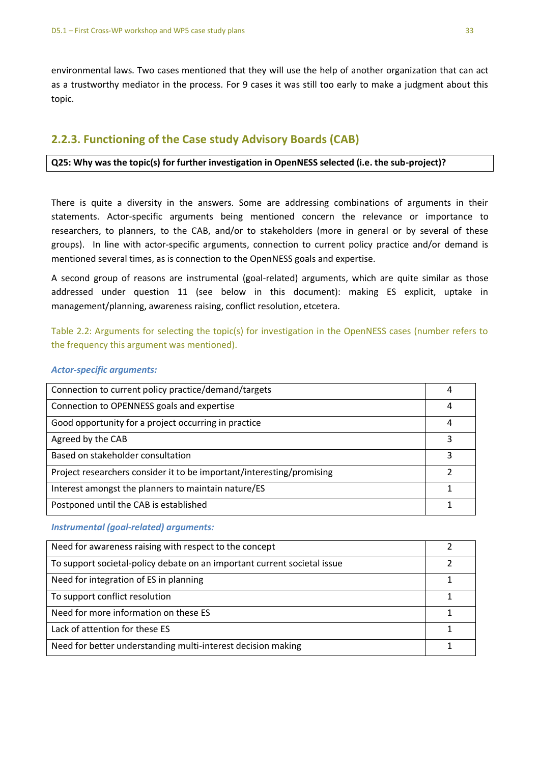environmental laws. Two cases mentioned that they will use the help of another organization that can act as a trustworthy mediator in the process. For 9 cases it was still too early to make a judgment about this topic.

# **2.2.3. Functioning of the Case study Advisory Boards (CAB)**

## **Q25: Why was the topic(s) for further investigation in OpenNESS selected (i.e. the sub-project)?**

There is quite a diversity in the answers. Some are addressing combinations of arguments in their statements. Actor-specific arguments being mentioned concern the relevance or importance to researchers, to planners, to the CAB, and/or to stakeholders (more in general or by several of these groups). In line with actor-specific arguments, connection to current policy practice and/or demand is mentioned several times, as is connection to the OpenNESS goals and expertise.

A second group of reasons are instrumental (goal-related) arguments, which are quite similar as those addressed under question 11 (see below in this document): making ES explicit, uptake in management/planning, awareness raising, conflict resolution, etcetera.

Table 2.2: Arguments for selecting the topic(s) for investigation in the OpenNESS cases (number refers to the frequency this argument was mentioned).

## *Actor-specific arguments:*

| Connection to current policy practice/demand/targets                  | 4 |
|-----------------------------------------------------------------------|---|
| Connection to OPENNESS goals and expertise                            | 4 |
| Good opportunity for a project occurring in practice                  | 4 |
| Agreed by the CAB                                                     | 3 |
| Based on stakeholder consultation                                     | ς |
| Project researchers consider it to be important/interesting/promising | 2 |
| Interest amongst the planners to maintain nature/ES                   |   |
| Postponed until the CAB is established                                |   |

## *Instrumental (goal-related) arguments:*

| Need for awareness raising with respect to the concept                   |  |
|--------------------------------------------------------------------------|--|
| To support societal-policy debate on an important current societal issue |  |
| Need for integration of ES in planning                                   |  |
| To support conflict resolution                                           |  |
| Need for more information on these ES                                    |  |
| Lack of attention for these ES                                           |  |
| Need for better understanding multi-interest decision making             |  |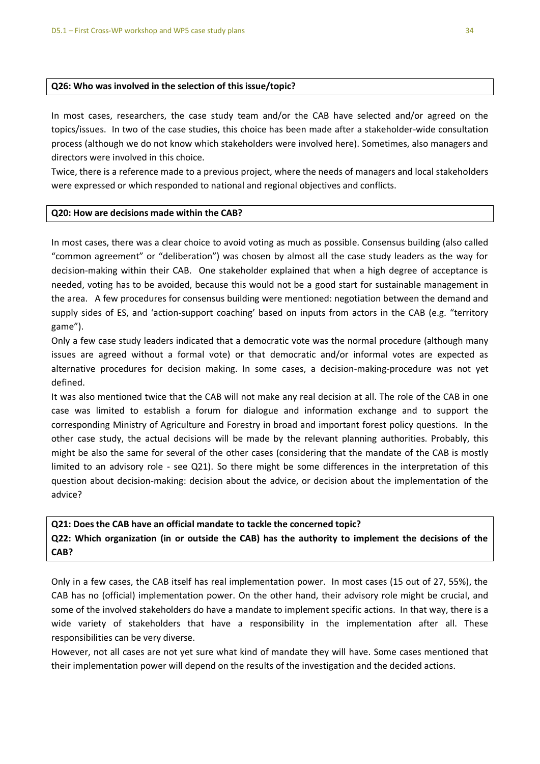#### **Q26: Who was involved in the selection of this issue/topic?**

In most cases, researchers, the case study team and/or the CAB have selected and/or agreed on the topics/issues. In two of the case studies, this choice has been made after a stakeholder-wide consultation process (although we do not know which stakeholders were involved here). Sometimes, also managers and directors were involved in this choice.

Twice, there is a reference made to a previous project, where the needs of managers and local stakeholders were expressed or which responded to national and regional objectives and conflicts.

#### **Q20: How are decisions made within the CAB?**

In most cases, there was a clear choice to avoid voting as much as possible. Consensus building (also called "common agreement" or "deliberation") was chosen by almost all the case study leaders as the way for decision-making within their CAB. One stakeholder explained that when a high degree of acceptance is needed, voting has to be avoided, because this would not be a good start for sustainable management in the area. A few procedures for consensus building were mentioned: negotiation between the demand and supply sides of ES, and 'action-support coaching' based on inputs from actors in the CAB (e.g. "territory game").

Only a few case study leaders indicated that a democratic vote was the normal procedure (although many issues are agreed without a formal vote) or that democratic and/or informal votes are expected as alternative procedures for decision making. In some cases, a decision-making-procedure was not yet defined.

It was also mentioned twice that the CAB will not make any real decision at all. The role of the CAB in one case was limited to establish a forum for dialogue and information exchange and to support the corresponding Ministry of Agriculture and Forestry in broad and important forest policy questions. In the other case study, the actual decisions will be made by the relevant planning authorities. Probably, this might be also the same for several of the other cases (considering that the mandate of the CAB is mostly limited to an advisory role - see Q21). So there might be some differences in the interpretation of this question about decision-making: decision about the advice, or decision about the implementation of the advice?

#### **Q21: Does the CAB have an official mandate to tackle the concerned topic?**

**Q22: Which organization (in or outside the CAB) has the authority to implement the decisions of the CAB?** 

Only in a few cases, the CAB itself has real implementation power. In most cases (15 out of 27, 55%), the CAB has no (official) implementation power. On the other hand, their advisory role might be crucial, and some of the involved stakeholders do have a mandate to implement specific actions. In that way, there is a wide variety of stakeholders that have a responsibility in the implementation after all. These responsibilities can be very diverse.

However, not all cases are not yet sure what kind of mandate they will have. Some cases mentioned that their implementation power will depend on the results of the investigation and the decided actions.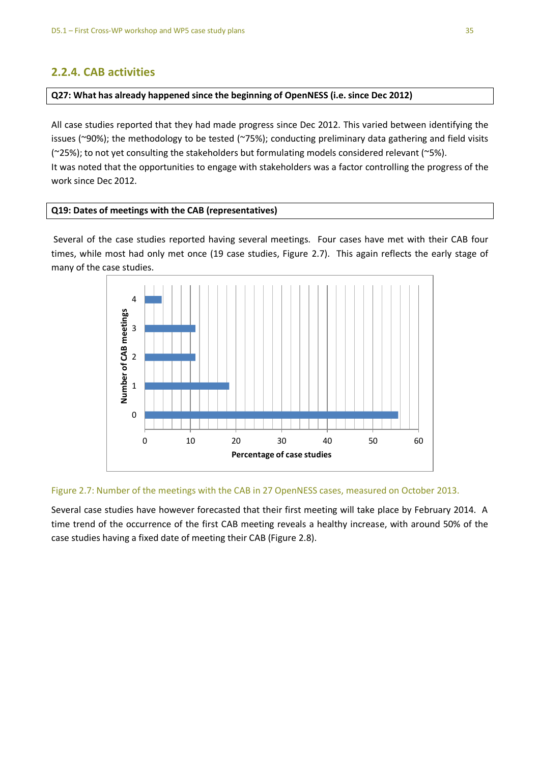# **2.2.4. CAB activities**

## **Q27: What has already happened since the beginning of OpenNESS (i.e. since Dec 2012)**

All case studies reported that they had made progress since Dec 2012. This varied between identifying the issues (~90%); the methodology to be tested (~75%); conducting preliminary data gathering and field visits (~25%); to not yet consulting the stakeholders but formulating models considered relevant (~5%). It was noted that the opportunities to engage with stakeholders was a factor controlling the progress of the work since Dec 2012.

## **Q19: Dates of meetings with the CAB (representatives)**

Several of the case studies reported having several meetings. Four cases have met with their CAB four times, while most had only met once (19 case studies, Figure 2.7). This again reflects the early stage of many of the case studies.



## Figure 2.7: Number of the meetings with the CAB in 27 OpenNESS cases, measured on October 2013.

Several case studies have however forecasted that their first meeting will take place by February 2014. A time trend of the occurrence of the first CAB meeting reveals a healthy increase, with around 50% of the case studies having a fixed date of meeting their CAB (Figure 2.8).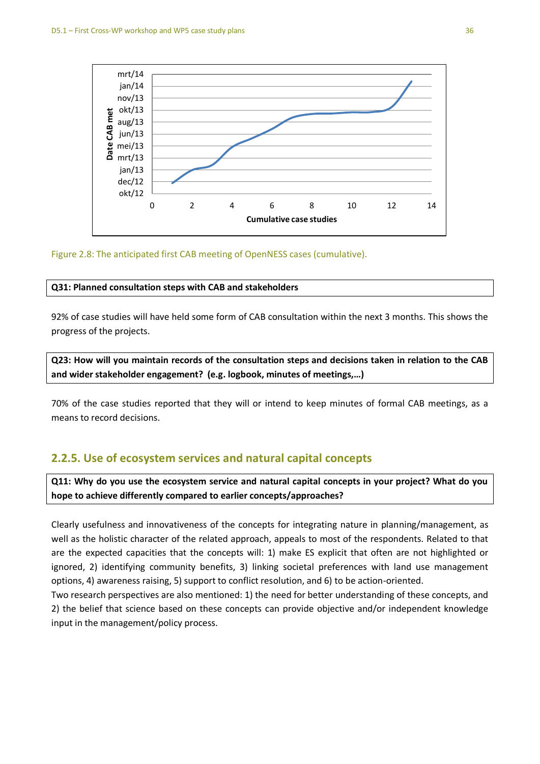

## Figure 2.8: The anticipated first CAB meeting of OpenNESS cases (cumulative).

#### **Q31: Planned consultation steps with CAB and stakeholders**

92% of case studies will have held some form of CAB consultation within the next 3 months. This shows the progress of the projects.

**Q23: How will you maintain records of the consultation steps and decisions taken in relation to the CAB and wider stakeholder engagement? (e.g. logbook, minutes of meetings,…)**

70% of the case studies reported that they will or intend to keep minutes of formal CAB meetings, as a means to record decisions.

## **2.2.5. Use of ecosystem services and natural capital concepts**

**Q11: Why do you use the ecosystem service and natural capital concepts in your project? What do you hope to achieve differently compared to earlier concepts/approaches?** 

Clearly usefulness and innovativeness of the concepts for integrating nature in planning/management, as well as the holistic character of the related approach, appeals to most of the respondents. Related to that are the expected capacities that the concepts will: 1) make ES explicit that often are not highlighted or ignored, 2) identifying community benefits, 3) linking societal preferences with land use management options, 4) awareness raising, 5) support to conflict resolution, and 6) to be action-oriented.

Two research perspectives are also mentioned: 1) the need for better understanding of these concepts, and 2) the belief that science based on these concepts can provide objective and/or independent knowledge input in the management/policy process.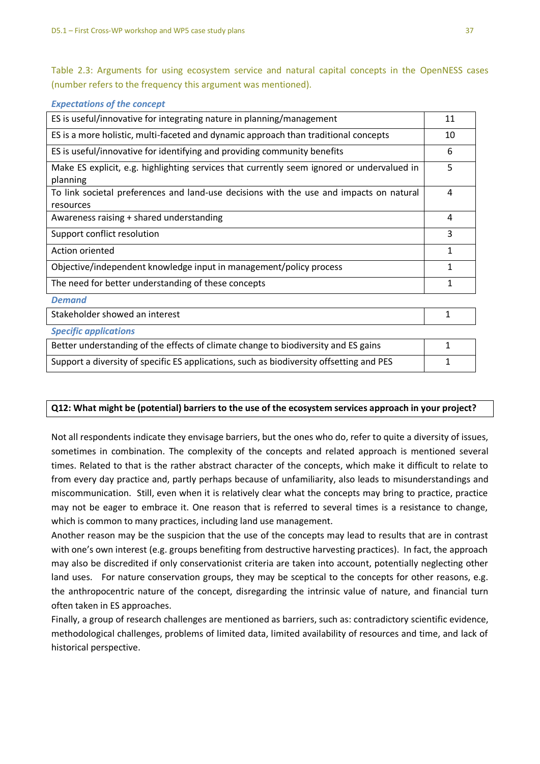Table 2.3: Arguments for using ecosystem service and natural capital concepts in the OpenNESS cases (number refers to the frequency this argument was mentioned).

| <b>Expectations of the concept</b>                                                                     |              |
|--------------------------------------------------------------------------------------------------------|--------------|
| ES is useful/innovative for integrating nature in planning/management                                  | 11           |
| ES is a more holistic, multi-faceted and dynamic approach than traditional concepts                    | 10           |
| ES is useful/innovative for identifying and providing community benefits                               | 6            |
| Make ES explicit, e.g. highlighting services that currently seem ignored or undervalued in<br>planning | 5            |
| To link societal preferences and land-use decisions with the use and impacts on natural<br>resources   | 4            |
| Awareness raising + shared understanding                                                               | 4            |
| Support conflict resolution                                                                            | 3            |
| Action oriented                                                                                        | $\mathbf{1}$ |
| Objective/independent knowledge input in management/policy process                                     | 1            |
| The need for better understanding of these concepts                                                    | 1            |
| <b>Demand</b>                                                                                          |              |
| Stakeholder showed an interest                                                                         | 1            |
| <b>Specific applications</b>                                                                           |              |

| Better understanding of the effects of climate change to biodiversity and ES gains       |   |
|------------------------------------------------------------------------------------------|---|
| Support a diversity of specific ES applications, such as biodiversity offsetting and PES | - |

## **Q12: What might be (potential) barriers to the use of the ecosystem services approach in your project?**

Not all respondents indicate they envisage barriers, but the ones who do, refer to quite a diversity of issues, sometimes in combination. The complexity of the concepts and related approach is mentioned several times. Related to that is the rather abstract character of the concepts, which make it difficult to relate to from every day practice and, partly perhaps because of unfamiliarity, also leads to misunderstandings and miscommunication. Still, even when it is relatively clear what the concepts may bring to practice, practice may not be eager to embrace it. One reason that is referred to several times is a resistance to change, which is common to many practices, including land use management.

Another reason may be the suspicion that the use of the concepts may lead to results that are in contrast with one's own interest (e.g. groups benefiting from destructive harvesting practices). In fact, the approach may also be discredited if only conservationist criteria are taken into account, potentially neglecting other land uses. For nature conservation groups, they may be sceptical to the concepts for other reasons, e.g. the anthropocentric nature of the concept, disregarding the intrinsic value of nature, and financial turn often taken in ES approaches.

Finally, a group of research challenges are mentioned as barriers, such as: contradictory scientific evidence, methodological challenges, problems of limited data, limited availability of resources and time, and lack of historical perspective.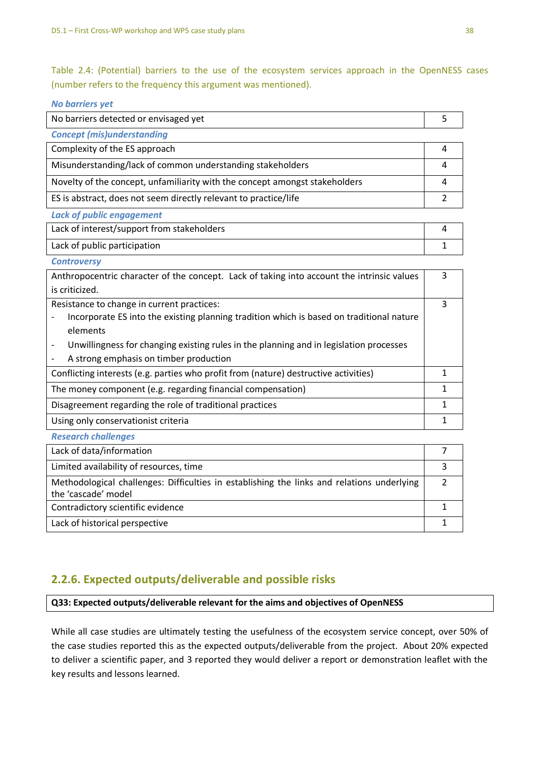Table 2.4: (Potential) barriers to the use of the ecosystem services approach in the OpenNESS cases (number refers to the frequency this argument was mentioned).

| <b>No barriers yet</b>                                                                     |                |
|--------------------------------------------------------------------------------------------|----------------|
| No barriers detected or envisaged yet                                                      | 5              |
| <b>Concept (mis)understanding</b>                                                          |                |
| Complexity of the ES approach                                                              | 4              |
| Misunderstanding/lack of common understanding stakeholders                                 | 4              |
| Novelty of the concept, unfamiliarity with the concept amongst stakeholders                | 4              |
| ES is abstract, does not seem directly relevant to practice/life                           | 2              |
| <b>Lack of public engagement</b>                                                           |                |
| Lack of interest/support from stakeholders                                                 | 4              |
| Lack of public participation                                                               | 1              |
| <b>Controversy</b>                                                                         |                |
| Anthropocentric character of the concept. Lack of taking into account the intrinsic values | 3              |
| is criticized.                                                                             |                |
| Resistance to change in current practices:                                                 | 3              |
| Incorporate ES into the existing planning tradition which is based on traditional nature   |                |
| elements                                                                                   |                |
| Unwillingness for changing existing rules in the planning and in legislation processes     |                |
| A strong emphasis on timber production                                                     |                |
| Conflicting interests (e.g. parties who profit from (nature) destructive activities)       | $\mathbf{1}$   |
| The money component (e.g. regarding financial compensation)                                | 1              |
| Disagreement regarding the role of traditional practices                                   | $\mathbf{1}$   |
| Using only conservationist criteria                                                        | $\mathbf{1}$   |
| <b>Research challenges</b>                                                                 |                |
| Lack of data/information                                                                   | $\overline{7}$ |
| Limited availability of resources, time                                                    | 3              |

| Limited availability of resources, time                                                    |  |
|--------------------------------------------------------------------------------------------|--|
| Methodological challenges: Difficulties in establishing the links and relations underlying |  |
| the 'cascade' model                                                                        |  |
| Contradictory scientific evidence                                                          |  |
| Lack of historical perspective                                                             |  |

# **2.2.6. Expected outputs/deliverable and possible risks**

**Q33: Expected outputs/deliverable relevant for the aims and objectives of OpenNESS**

While all case studies are ultimately testing the usefulness of the ecosystem service concept, over 50% of the case studies reported this as the expected outputs/deliverable from the project. About 20% expected to deliver a scientific paper, and 3 reported they would deliver a report or demonstration leaflet with the key results and lessons learned.